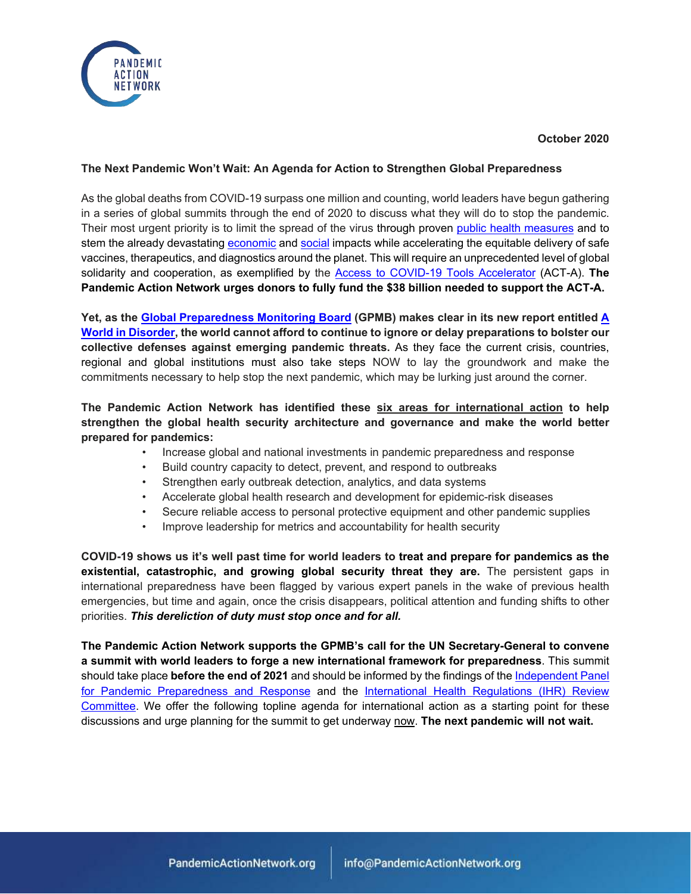

#### **October 2020**

### **The Next Pandemic Won't Wait: An Agenda for Action to Strengthen Global Preparedness**

As the global deaths from COVID-19 surpass one million and counting, world leaders have begun gathering in a series of global summits through the end of 2020 to discuss what they will do to stop the pandemic. Their most urgent priority is to limit the spread of the virus through proven [public health measures](https://pandemicactionnetwork.org/wp-content/uploads/2020/08/Why-Masks-Matter-Policy-Brief-August-2020.pdf) and to stem the already devastating [economic](https://www.worldbank.org/en/news/feature/2020/06/08/the-global-economic-outlook-during-the-covid-19-pandemic-a-changed-world) and [social](https://www.worldbank.org/en/news/press-release/2020/09/16/pandemic-threatens-human-capital-gains-of-the-past-decade-new-report-says?cid=GGH_e_hcpexternal_en_ext) impacts while accelerating the equitable delivery of safe vaccines, therapeutics, and diagnostics around the planet. This will require an unprecedented level of global solidarity and cooperation, as exemplified by the [Access to COVID-19 Tools Accelerator](https://www.who.int/docs/default-source/coronaviruse/act-accelerator/status-report-plan-final-v2.pdf?sfvrsn=ee8f682b_4&download=true) (ACT-A). **The Pandemic Action Network urges donors to fully fund the \$38 billion needed to support the ACT-A.**

**Yet, as the [Global Preparedness Monitoring Board](https://apps.who.int/gpmb/annual_report.html) (GPMB) makes clear in its new report entitled [A](https://apps.who.int/gpmb/annual_report.html)  [World in Disorder,](https://apps.who.int/gpmb/annual_report.html) the world cannot afford to continue to ignore or delay preparations to bolster our collective defenses against emerging pandemic threats.** As they face the current crisis, countries, regional and global institutions must also take steps NOW to lay the groundwork and make the commitments necessary to help stop the next pandemic, which may be lurking just around the corner.

## **The Pandemic Action Network has identified these six areas for international action to help strengthen the global health security architecture and governance and make the world better prepared for pandemics:**

- Increase global and national investments in pandemic preparedness and response
- Build country capacity to detect, prevent, and respond to outbreaks
- Strengthen early outbreak detection, analytics, and data systems
- Accelerate global health research and development for epidemic-risk diseases
- Secure reliable access to personal protective equipment and other pandemic supplies
- Improve leadership for metrics and accountability for health security

**COVID-19 shows us it's well past time for world leaders to treat and prepare for pandemics as the existential, catastrophic, and growing global security threat they are.** The persistent gaps in international preparedness have been flagged by various expert panels in the wake of previous health emergencies, but time and again, once the crisis disappears, political attention and funding shifts to other priorities. *This dereliction of duty must stop once and for all.* 

**The Pandemic Action Network supports the GPMB's call for the UN Secretary-General to convene a summit with world leaders to forge a new international framework for preparedness**. This summit should take place **before the end of 2021** and should be informed by the findings of th[e Independent Panel](https://www.theindependentpanel.org/)  [for Pandemic Preparedness and Response](https://www.theindependentpanel.org/) and the [International Health Regulations \(IHR\) Review](https://www.who.int/teams/ihr/ihr-review-committees/covid-19)  [Committee.](https://www.who.int/teams/ihr/ihr-review-committees/covid-19) We offer the following topline agenda for international action as a starting point for these discussions and urge planning for the summit to get underway now. **The next pandemic will not wait.**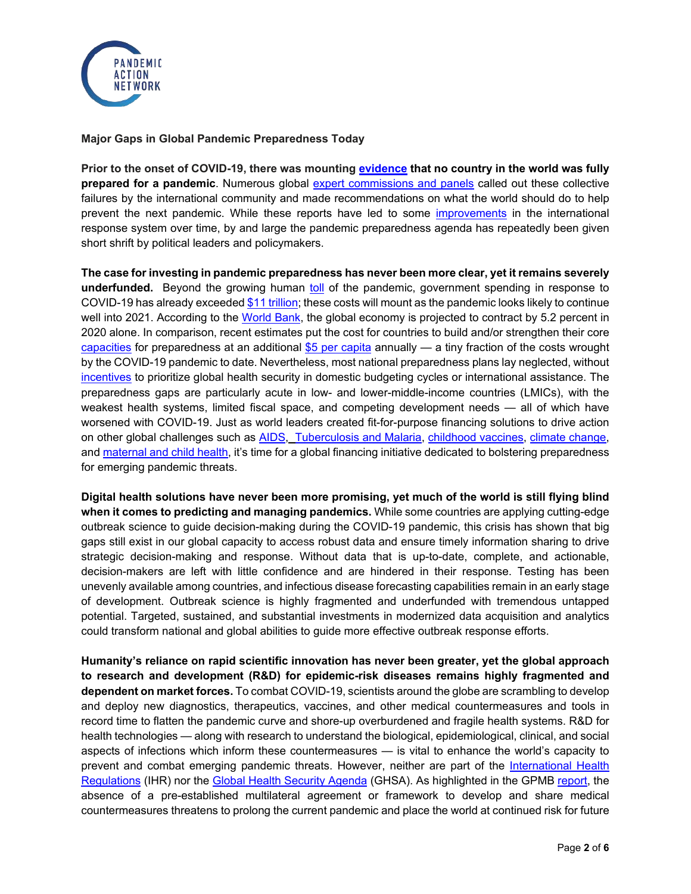

#### **Major Gaps in Global Pandemic Preparedness Today**

**Prior to the onset of COVID-19, there was mounting [evidence](https://www.ghsindex.org/) that no country in the world was fully prepared for a pandemic**. Numerous global [expert commissions and panels](https://apps.who.int/gpmb/high-level-commissions-on-preparedness.html) called out these collective failures by the international community and made recommendations on what the world should do to help prevent the next pandemic. While these reports have led to some [improvements](https://www.csis.org/analysis/advice-independent-panel-pandemic-preparedness-and-response) in the international response system over time, by and large the pandemic preparedness agenda has repeatedly been given short shrift by political leaders and policymakers.

**The case for investing in pandemic preparedness has never been more clear, yet it remains severely underfunded.** Beyond the growing human [toll](https://coronavirus.jhu.edu/map.html) of the pandemic, government spending in response to COVID-19 has already exceede[d \\$11 trillion;](https://apps.who.int/gpmb/assets/annual_report/GPMB_AR_2020_EN.pdf) these costs will mount as the pandemic looks likely to continue well into 2021. According to the [World Bank,](https://www.worldbank.org/en/news/press-release/2020/06/08/covid-19-to-plunge-global-economy-into-worst-recession-since-world-war-ii#:%7E:text=WASHINGTON%2C%20June%208%2C%202020%20%E2%80%94,shrink%20by%205.2%25%20this%20year.) the global economy is projected to contract by 5.2 percent in 2020 alone. In comparison, recent estimates put the cost for countries to build and/or strengthen their core [capacities](https://jamanetwork.com/journals/jama/fullarticle/2770891) for preparedness at an additional [\\$5 per capita](https://www.mckinsey.com/%7E/media/McKinsey/Industries/Public%20and%20Social%20Sector/Our%20Insights/Not%20the%20last%20pandemic%20Investing%20now%20to%20reimagine%20public%20health%20systems/Not-the-last-pandemic-Investing-now-to-reimagine-public-health-systems-F.pdf) annually — a tiny fraction of the costs wrought by the COVID-19 pandemic to date. Nevertheless, most national preparedness plans lay neglected, without [incentives](https://www.csis.org/analysis/harnessing-multilateral-financing-health-security-preparedness) to prioritize global health security in domestic budgeting cycles or international assistance. The preparedness gaps are particularly acute in low- and lower-middle-income countries (LMICs), with the weakest health systems, limited fiscal space, and competing development needs — all of which have worsened with COVID-19. Just as world leaders created fit-for-purpose financing solutions to drive action on other global challenges such as [AIDS, Tuberculosis and Malaria,](https://www.theglobalfund.org/en/overview/#:%7E:text=The%20Global%20Fund%20to%20Fight%20AIDS%2C%20Tuberculosis%20and%20Malaria%20was,to%20defeat%20these%20three%20diseases.) [childhood vaccines,](https://www.gavi.org/our-alliance/about) [climate change,](https://www.climateinvestmentfunds.org/) and [maternal and child health,](https://www.globalfinancingfacility.org/) it's time for a global financing initiative dedicated to bolstering preparedness for emerging pandemic threats.

**Digital health solutions have never been more promising, yet much of the world is still flying blind when it comes to predicting and managing pandemics.** While some countries are applying cutting-edge outbreak science to guide decision-making during the COVID-19 pandemic, this crisis has shown that big gaps still exist in our global capacity to access robust data and ensure timely information sharing to drive strategic decision-making and response. Without data that is up-to-date, complete, and actionable, decision-makers are left with little confidence and are hindered in their response. Testing has been unevenly available among countries, and infectious disease forecasting capabilities remain in an early stage of development. Outbreak science is highly fragmented and underfunded with tremendous untapped potential. Targeted, sustained, and substantial investments in modernized data acquisition and analytics could transform national and global abilities to guide more effective outbreak response efforts.

**Humanity's reliance on rapid scientific innovation has never been greater, yet the global approach to research and development (R&D) for epidemic-risk diseases remains highly fragmented and dependent on market forces.** To combat COVID-19, scientists around the globe are scrambling to develop and deploy new diagnostics, therapeutics, vaccines, and other medical countermeasures and tools in record time to flatten the pandemic curve and shore-up overburdened and fragile health systems. R&D for health technologies — along with research to understand the biological, epidemiological, clinical, and social aspects of infections which inform these countermeasures — is vital to enhance the world's capacity to prevent and combat emerging pandemic threats. However, neither are part of the [International Health](https://www.who.int/health-topics/international-health-regulations#tab=tab_1)  [Regulations](https://www.who.int/health-topics/international-health-regulations#tab=tab_1) (IHR) nor the [Global Health Security Agenda](https://ghsagenda.org/) (GHSA). As highlighted in the GPMB [report,](https://apps.who.int/gpmb/assets/annual_report/GPMB_AR_2020_EN.pdf) the absence of a pre-established multilateral agreement or framework to develop and share medical countermeasures threatens to prolong the current pandemic and place the world at continued risk for future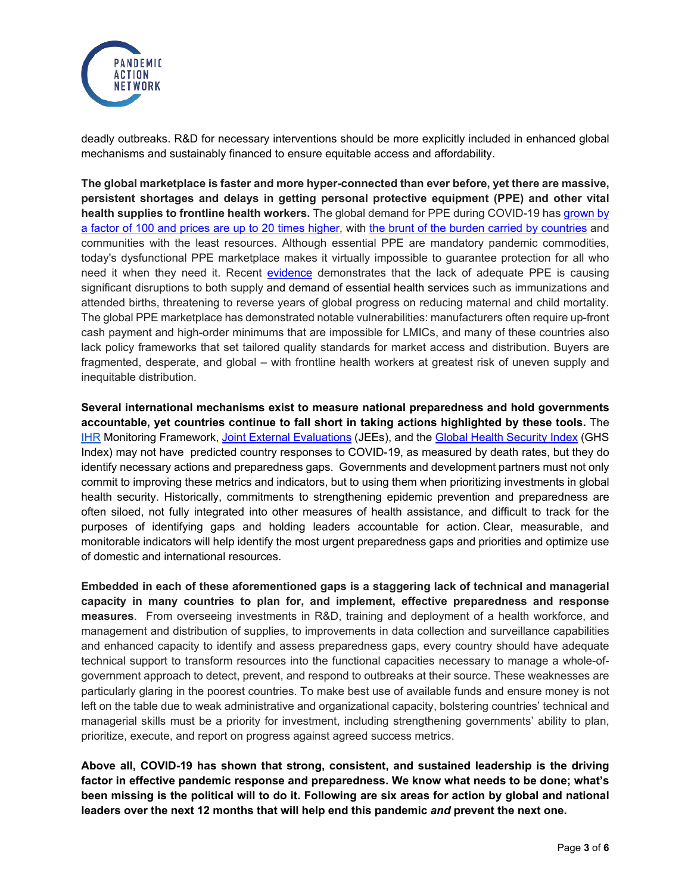

deadly outbreaks. R&D for necessary interventions should be more explicitly included in enhanced global mechanisms and sustainably financed to ensure equitable access and affordability.

**The global marketplace is faster and more hyper-connected than ever before, yet there are massive, persistent shortages and delays in getting personal protective equipment (PPE) and other vital health supplies to frontline health workers.** The global demand for PPE during COVID-19 ha[s grown by](https://www.cidrap.umn.edu/news-perspective/2020/02/who-warns-ppe-shortage-ncov-pace-slows-slightly-china)  [a factor of 100 and prices are up to 20 times higher,](https://www.cidrap.umn.edu/news-perspective/2020/02/who-warns-ppe-shortage-ncov-pace-slows-slightly-china) with [the brunt of the burden carried by countries](https://www.nytimes.com/2020/04/09/world/coronavirus-equipment-rich-poor.html) and communities with the least resources. Although essential PPE are mandatory pandemic commodities, today's dysfunctional PPE marketplace makes it virtually impossible to guarantee protection for all who need it when they need it. Recent [evidence](https://www.globalfinancingfacility.org/new-findings-confirm-global-disruptions-essential-health-services-women-and-children-covid-19) demonstrates that the lack of adequate PPE is causing significant disruptions to both supply and demand of essential health services such as immunizations and attended births, threatening to reverse years of global progress on reducing maternal and child mortality. The global PPE marketplace has demonstrated notable vulnerabilities: manufacturers often require up-front cash payment and high-order minimums that are impossible for LMICs, and many of these countries also lack policy frameworks that set tailored quality standards for market access and distribution. Buyers are fragmented, desperate, and global – with frontline health workers at greatest risk of uneven supply and inequitable distribution.

**Several international mechanisms exist to measure national preparedness and hold governments accountable, yet countries continue to fall short in taking actions highlighted by these tools.** The [IHR](https://www.who.int/health-topics/international-health-regulations#tab=tab_1) Monitoring Framework, [Joint External Evaluations](https://www.who.int/ihr/procedures/joint-external-evaluations/en/) (JEEs), and the [Global Health Security Index](https://www.ghsindex.org/) (GHS Index) may not have predicted country responses to COVID-19, as measured by death rates, but they do identify necessary actions and preparedness gaps. Governments and development partners must not only commit to improving these metrics and indicators, but to using them when prioritizing investments in global health security. Historically, commitments to strengthening epidemic prevention and preparedness are often siloed, not fully integrated into other measures of health assistance, and difficult to track for the purposes of identifying gaps and holding leaders accountable for action. Clear, measurable, and monitorable indicators will help identify the most urgent preparedness gaps and priorities and optimize use of domestic and international resources.

**Embedded in each of these aforementioned gaps is a staggering lack of technical and managerial capacity in many countries to plan for, and implement, effective preparedness and response measures**. From overseeing investments in R&D, training and deployment of a health workforce, and management and distribution of supplies, to improvements in data collection and surveillance capabilities and enhanced capacity to identify and assess preparedness gaps, every country should have adequate technical support to transform resources into the functional capacities necessary to manage a whole-ofgovernment approach to detect, prevent, and respond to outbreaks at their source. These weaknesses are particularly glaring in the poorest countries. To make best use of available funds and ensure money is not left on the table due to weak administrative and organizational capacity, bolstering countries' technical and managerial skills must be a priority for investment, including strengthening governments' ability to plan, prioritize, execute, and report on progress against agreed success metrics.

**Above all, COVID-19 has shown that strong, consistent, and sustained leadership is the driving factor in effective pandemic response and preparedness. We know what needs to be done; what's been missing is the political will to do it. Following are six areas for action by global and national leaders over the next 12 months that will help end this pandemic** *and* **prevent the next one.**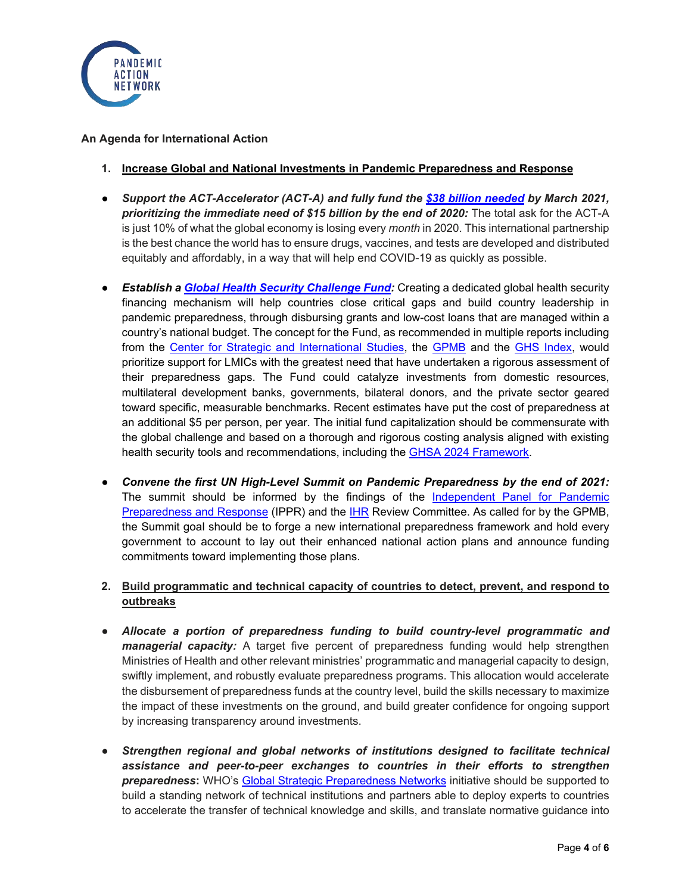

### **An Agenda for International Action**

- **1. Increase Global and National Investments in Pandemic Preparedness and Response**
- *Support the ACT-Accelerator (ACT-A) and fully fund the [\\$38 billion needed](https://www.who.int/publications/i/item/an-economic-investment-case-financing-requirements) by March 2021, prioritizing the immediate need of \$15 billion by the end of 2020:* The total ask for the ACT-A is just 10% of what the global economy is losing every *month* in 2020. This international partnership is the best chance the world has to ensure drugs, vaccines, and tests are developed and distributed equitably and affordably, in a way that will help end COVID-19 as quickly as possible.
- **Establish a [Global Health Security Challenge Fund:](https://media.nti.org/documents/GHS_Challenge_Fund_Concept_Note_FINAL.PDF)** Creating a dedicated global health security financing mechanism will help countries close critical gaps and build country leadership in pandemic preparedness, through disbursing grants and low-cost loans that are managed within a country's national budget. The concept for the Fund, as recommended in multiple reports including from the [Center for Strategic and International Studies,](https://healthsecurity.csis.org/) the [GPMB](https://apps.who.int/gpmb/assets/annual_report/GPMB_AR_2020_EN.pdf) and the [GHS Index,](https://www.ghsindex.org/) would prioritize support for LMICs with the greatest need that have undertaken a rigorous assessment of their preparedness gaps. The Fund could catalyze investments from domestic resources, multilateral development banks, governments, bilateral donors, and the private sector geared toward specific, measurable benchmarks. Recent estimates have put the cost of preparedness at an additional \$5 per person, per year. The initial fund capitalization should be commensurate with the global challenge and based on a thorough and rigorous costing analysis aligned with existing health security tools and recommendations, including the **GHSA 2024 Framework**.
- *Convene the first UN High-Level Summit on Pandemic Preparedness by the end of 2021:* The summit should be informed by the findings of the [Independent Panel for Pandemic](https://www.theindependentpanel.org/)  [Preparedness and Response](https://www.theindependentpanel.org/) (IPPR) and the [IHR](https://www.who.int/teams/ihr/ihr-review-committees/covid-19) Review Committee. As called for by the GPMB, the Summit goal should be to forge a new international preparedness framework and hold every government to account to lay out their enhanced national action plans and announce funding commitments toward implementing those plans.

# **2. Build programmatic and technical capacity of countries to detect, prevent, and respond to outbreaks**

- *Allocate a portion of preparedness funding to build country-level programmatic and managerial capacity:* A target five percent of preparedness funding would help strengthen Ministries of Health and other relevant ministries' programmatic and managerial capacity to design, swiftly implement, and robustly evaluate preparedness programs. This allocation would accelerate the disbursement of preparedness funds at the country level, build the skills necessary to maximize the impact of these investments on the ground, and build greater confidence for ongoing support by increasing transparency around investments.
- *Strengthen regional and global networks of institutions designed to facilitate technical assistance and peer-to-peer exchanges to countries in their efforts to strengthen preparedness***:** WHO's [Global Strategic Preparedness Networks](https://extranet.who.int/sph/) initiative should be supported to build a standing network of technical institutions and partners able to deploy experts to countries to accelerate the transfer of technical knowledge and skills, and translate normative guidance into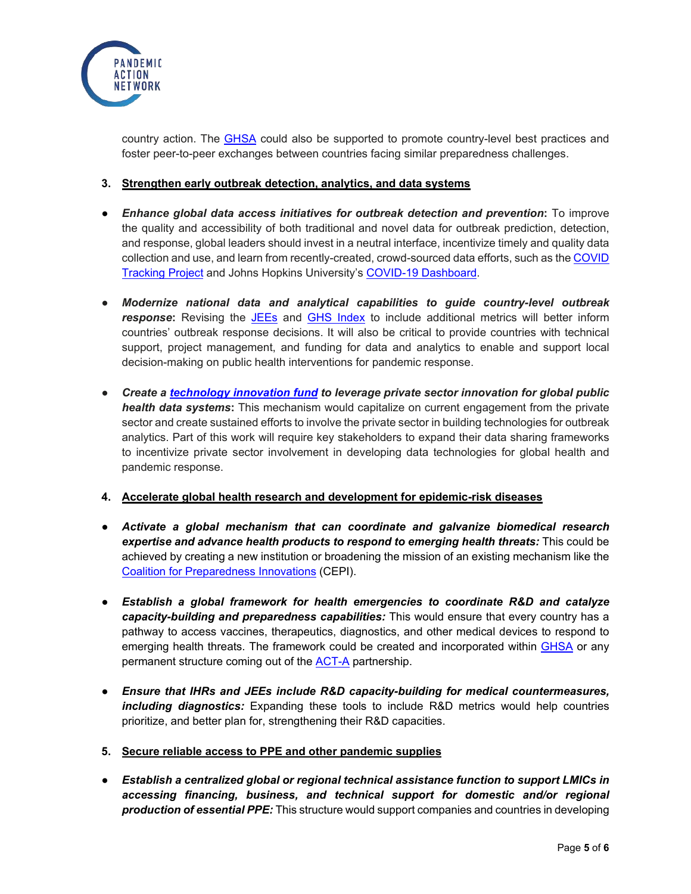

country action. The [GHSA](https://ghsagenda.org/) could also be supported to promote country-level best practices and foster peer-to-peer exchanges between countries facing similar preparedness challenges.

### **3. Strengthen early outbreak detection, analytics, and data systems**

- *Enhance global data access initiatives for outbreak detection and prevention***:** To improve the quality and accessibility of both traditional and novel data for outbreak prediction, detection, and response, global leaders should invest in a neutral interface, incentivize timely and quality data collection and use, and learn from recently-created, crowd-sourced data efforts, such as th[e COVID](https://covidtracking.com/)  [Tracking Project](https://covidtracking.com/) and Johns Hopkins University's [COVID-19 Dashboard.](https://coronavirus.jhu.edu/map.html)
- *Modernize national data and analytical capabilities to guide country-level outbreak*  **response:** Revising the [JEEs](https://www.who.int/ihr/procedures/joint-external-evaluations/en/) and [GHS Index](https://www.ghsindex.org/) to include additional metrics will better inform countries' outbreak response decisions. It will also be critical to provide countries with technical support, project management, and funding for data and analytics to enable and support local decision-making on public health interventions for pandemic response.
- *Create a [technology innovation fund](https://drive.google.com/file/d/143Z4jKR6ntPA1hh74nJ5h8ku-X2HCfP2/view) to leverage private sector innovation for global public health data systems***:** This mechanism would capitalize on current engagement from the private sector and create sustained efforts to involve the private sector in building technologies for outbreak analytics. Part of this work will require key stakeholders to expand their data sharing frameworks to incentivize private sector involvement in developing data technologies for global health and pandemic response.

### **4. Accelerate global health research and development for epidemic-risk diseases**

- *Activate a global mechanism that can coordinate and galvanize biomedical research expertise and advance health products to respond to emerging health threats:* This could be achieved by creating a new institution or broadening the mission of an existing mechanism like the [Coalition for Preparedness Innovations](https://cepi.net/) (CEPI).
- *Establish a global framework for health emergencies to coordinate R&D and catalyze capacity-building and preparedness capabilities:* This would ensure that every country has a pathway to access vaccines, therapeutics, diagnostics, and other medical devices to respond to emerging health threats. The framework could be created and incorporated within [GHSA](https://ghsagenda.org/) or any permanent structure coming out of the [ACT-A](https://www.who.int/initiatives/act-accelerator) partnership.
- *Ensure that IHRs and JEEs include R&D capacity-building for medical countermeasures, including diagnostics:* Expanding these tools to include R&D metrics would help countries prioritize, and better plan for, strengthening their R&D capacities.
- **5. Secure reliable access to PPE and other pandemic supplies**
- *Establish a centralized global or regional technical assistance function to support LMICs in accessing financing, business, and technical support for domestic and/or regional production of essential PPE:* This structure would support companies and countries in developing